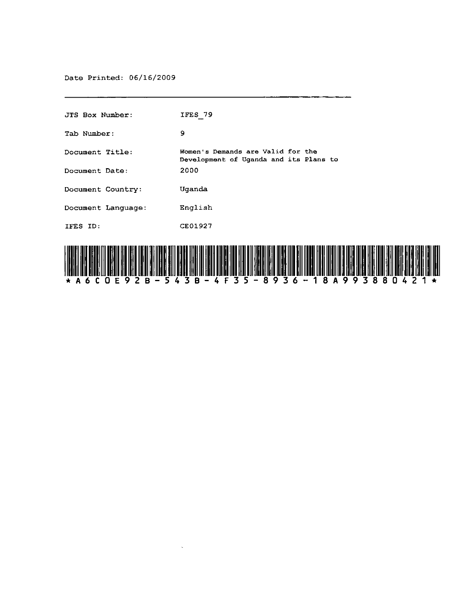Date Printed: 06/16/2009

| <b>JTS Box Number:</b>                                      | IFES 79                                                                     |
|-------------------------------------------------------------|-----------------------------------------------------------------------------|
| Tab Number:                                                 | 9                                                                           |
| Document Title:                                             | Women's Demands are Valid for the<br>Development of Uganda and its Plans to |
| Document Date:                                              | 2000                                                                        |
| Document Country:                                           | Uganda                                                                      |
| Document Language:                                          | English                                                                     |
| IFES ID:                                                    | CE01927                                                                     |
| <u>, IFILALITI KATIFILAHI KU KATIFILAHI KU KATIFILAHI K</u> | HIII INI HIII INI<br>I TIII III II                                          |

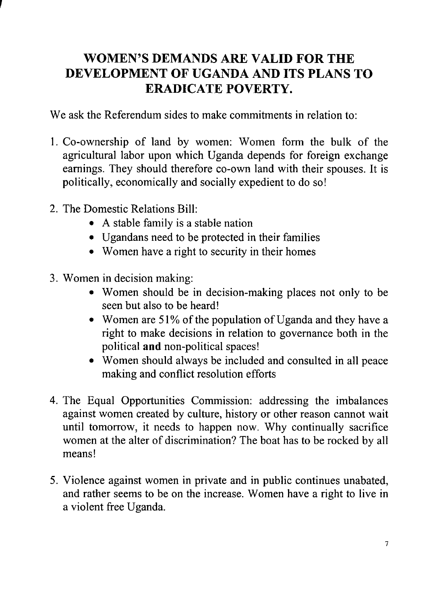## **WOMEN'S DEMANDS ARE VALID FOR THE DEVELOPMENT OF UGANDA AND ITS PLANS TO ERADICATE POVERTY.**

We ask the Referendum sides to make commitments in relation to:

- 1. Co-ownership of land by women: Women form the bulk of the agricultural labor upon which Uganda depends for foreign exchange earnings. They should therefore co-own land with their spouses. It is politically, economically and socially expedient to do so!
- 2. The Domestic Relations Bill:

, <u>, , , , , , , ,</u>

- A stable family is a stable nation
- Ugandans need to be protected in their families
- Women have a right to security in their homes
- 3. Women in decision making:
	- Women should be in decision-making places not only to be seen but also to be heard!
	- Women are 51% of the population of Uganda and they have a right to make decisions in relation to governance both in the political **and** non-political spaces!
	- Women should always be included and consulted in all peace making and conflict resolution efforts
- 4. The Equal Opportunities Commission: addressing the imbalances against women created by culture, history or other reason cannot wait until tomorrow, it needs to happen now. Why continually sacrifice women at the alter of discrimination? The boat has to be rocked by all means!
- 5. Violence against women in private and in public continues unabated, and rather seems to be on the increase. Women have a right to live in a violent free Uganda.